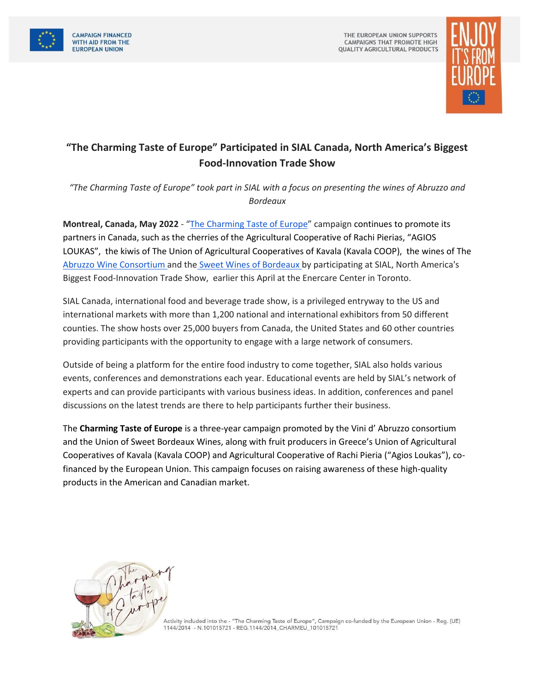



## **"The Charming Taste of Europe" Participated in SIAL Canada, North America's Biggest Food-Innovation Trade Show**

*"The Charming Taste of Europe" took part in SIAL with a focus on presenting the wines of Abruzzo and Bordeaux* 

**Montreal, Canada, May 2022** - "[The Charming Taste of Europe](https://www.charmingtasteofeurope.eu/en/)" campaign continues to promote its partners in Canada, such as the cherries of the Agricultural Cooperative of Rachi Pierias, "AGIOS LOUKAS", the kiwis of The Union of Agricultural Cooperatives of Kavala (Kavala COOP), the wines of The [Abruzzo Wine Consortium a](https://www.vinidabruzzo.it/en/)nd the [Sweet Wines of Bordeaux b](https://www.bordeaux.com/us/Bordeaux-Magazine-US/Journal/Education/The-Sweet-Wines-of-Bordeaux)y participating at SIAL, North America's Biggest Food-Innovation Trade Show, earlier this April at the Enercare Center in Toronto.

SIAL Canada, international food and beverage trade show, is a privileged entryway to the US and international markets with more than 1,200 national and international exhibitors from 50 different counties. The show hosts over 25,000 buyers from Canada, the United States and 60 other countries providing participants with the opportunity to engage with a large network of consumers.

Outside of being a platform for the entire food industry to come together, SIAL also holds various events, conferences and demonstrations each year. Educational events are held by SIAL's network of experts and can provide participants with various business ideas. In addition, conferences and panel discussions on the latest trends are there to help participants further their business.

The **Charming Taste of Europe** is a three-year campaign promoted by the Vini d' Abruzzo consortium and the Union of Sweet Bordeaux Wines, along with fruit producers in Greece's Union of Agricultural Cooperatives of Kavala (Kavala COOP) and Agricultural Cooperative of Rachi Pieria ("Agios Loukas"), cofinanced by the European Union. This campaign focuses on raising awareness of these high-quality products in the American and Canadian market.



Activity included into the - "The Charming Taste of Europe", Campaign co-funded by the European Union - Reg. (UE) 1144/2014 - N.101015721 - REG.1144/2014\_CHARMEU\_101015721